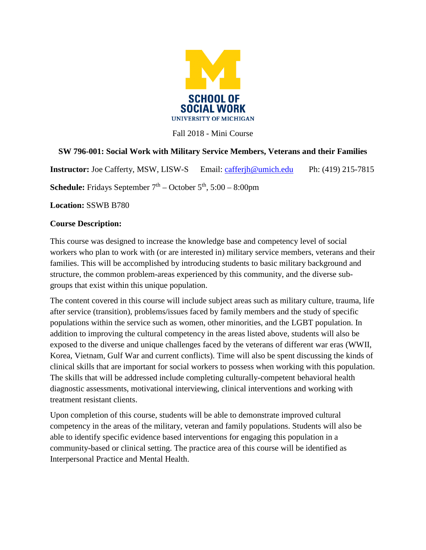

Fall 2018 - Mini Course

# **SW 796-001: Social Work with Military Service Members, Veterans and their Families**

**Instructor:** Joe Cafferty, MSW, LISW-S Email: [cafferjh@umich.edu](mailto:cafferjh@umich.edu) Ph: (419) 215-7815

**Schedule:** Fridays September  $7<sup>th</sup>$  – October  $5<sup>th</sup>$ ,  $5:00$  – 8:00pm

**Location:** SSWB B780

### **Course Description:**

This course was designed to increase the knowledge base and competency level of social workers who plan to work with (or are interested in) military service members, veterans and their families. This will be accomplished by introducing students to basic military background and structure, the common problem-areas experienced by this community, and the diverse subgroups that exist within this unique population.

The content covered in this course will include subject areas such as military culture, trauma, life after service (transition), problems/issues faced by family members and the study of specific populations within the service such as women, other minorities, and the LGBT population. In addition to improving the cultural competency in the areas listed above, students will also be exposed to the diverse and unique challenges faced by the veterans of different war eras (WWII, Korea, Vietnam, Gulf War and current conflicts). Time will also be spent discussing the kinds of clinical skills that are important for social workers to possess when working with this population. The skills that will be addressed include completing culturally-competent behavioral health diagnostic assessments, motivational interviewing, clinical interventions and working with treatment resistant clients.

Upon completion of this course, students will be able to demonstrate improved cultural competency in the areas of the military, veteran and family populations. Students will also be able to identify specific evidence based interventions for engaging this population in a community-based or clinical setting. The practice area of this course will be identified as Interpersonal Practice and Mental Health.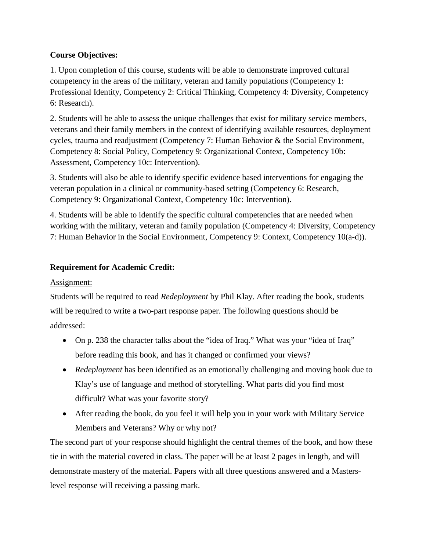## **Course Objectives:**

1. Upon completion of this course, students will be able to demonstrate improved cultural competency in the areas of the military, veteran and family populations (Competency 1: Professional Identity, Competency 2: Critical Thinking, Competency 4: Diversity, Competency 6: Research).

2. Students will be able to assess the unique challenges that exist for military service members, veterans and their family members in the context of identifying available resources, deployment cycles, trauma and readjustment (Competency 7: Human Behavior & the Social Environment, Competency 8: Social Policy, Competency 9: Organizational Context, Competency 10b: Assessment, Competency 10c: Intervention).

3. Students will also be able to identify specific evidence based interventions for engaging the veteran population in a clinical or community-based setting (Competency 6: Research, Competency 9: Organizational Context, Competency 10c: Intervention).

4. Students will be able to identify the specific cultural competencies that are needed when working with the military, veteran and family population (Competency 4: Diversity, Competency 7: Human Behavior in the Social Environment, Competency 9: Context, Competency 10(a-d)).

# **Requirement for Academic Credit:**

## Assignment:

Students will be required to read *Redeployment* by Phil Klay. After reading the book, students will be required to write a two-part response paper. The following questions should be addressed:

- On p. 238 the character talks about the "idea of Iraq." What was your "idea of Iraq" before reading this book, and has it changed or confirmed your views?
- *Redeployment* has been identified as an emotionally challenging and moving book due to Klay's use of language and method of storytelling. What parts did you find most difficult? What was your favorite story?
- After reading the book, do you feel it will help you in your work with Military Service Members and Veterans? Why or why not?

The second part of your response should highlight the central themes of the book, and how these tie in with the material covered in class. The paper will be at least 2 pages in length, and will demonstrate mastery of the material. Papers with all three questions answered and a Masterslevel response will receiving a passing mark.